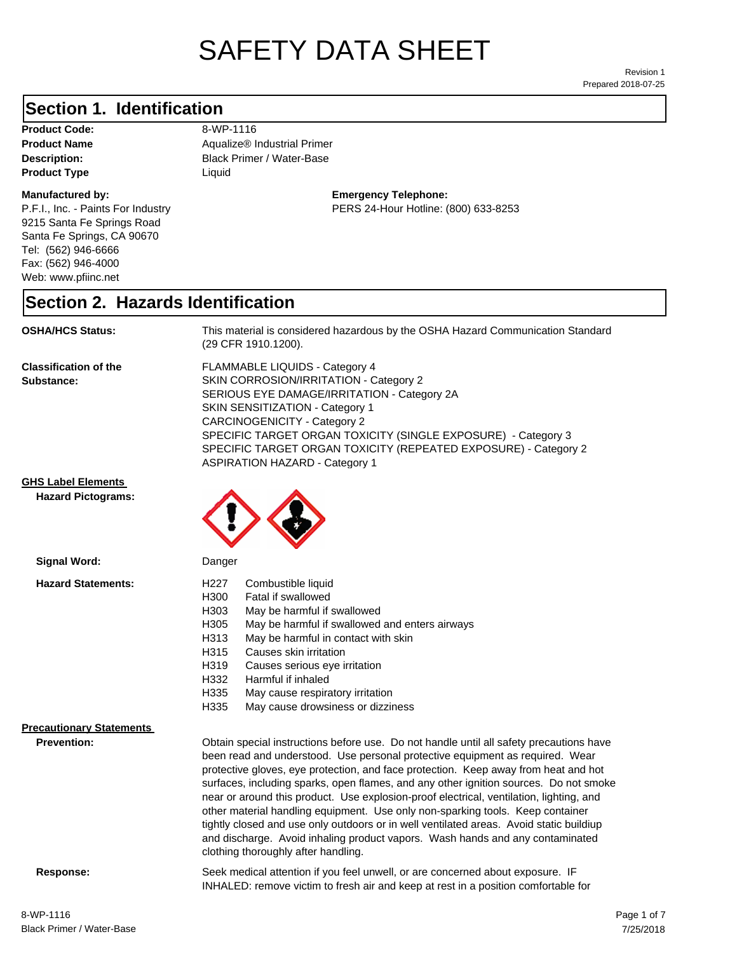# SAFETY DATA SHEET

Prepared 2018-07-25 Revision 1

### **Section 1. Identification**

**Product Code:** 8-WP-1116 **Product Type Liquid Liquid** 

#### **Manufactured by:**

P.F.I., Inc. - Paints For Industry 9215 Santa Fe Springs Road Santa Fe Springs, CA 90670 Tel: (562) 946-6666 Fax: (562) 946-4000 Web: www.pfiinc.net

**Description:** Black Primer / Water-Base **Product Name** Aqualize® Industrial Primer

> **Emergency Telephone:** PERS 24-Hour Hotline: (800) 633-8253

#### **Section 2. Hazards Identification**

#### **OSHA/HCS Status:** This material is considered hazardous by the OSHA Hazard Communication Standard

(29 CFR 1910.1200).

**Classification of the Substance:**

FLAMMABLE LIQUIDS - Category 4 SKIN CORROSION/IRRITATION - Category 2 SERIOUS EYE DAMAGE/IRRITATION - Category 2A SKIN SENSITIZATION - Category 1 CARCINOGENICITY - Category 2 SPECIFIC TARGET ORGAN TOXICITY (SINGLE EXPOSURE) - Category 3 SPECIFIC TARGET ORGAN TOXICITY (REPEATED EXPOSURE) - Category 2 ASPIRATION HAZARD - Category 1

INHALED: remove victim to fresh air and keep at rest in a position comfortable for

**GHS Label Elements**

**Hazard Pictograms:**



| Signal Word:                                          | Danger                                                                                                                                                                                                                                                                                                                                                                                                                                                                                                                                                                                                                                                                                                            |  |
|-------------------------------------------------------|-------------------------------------------------------------------------------------------------------------------------------------------------------------------------------------------------------------------------------------------------------------------------------------------------------------------------------------------------------------------------------------------------------------------------------------------------------------------------------------------------------------------------------------------------------------------------------------------------------------------------------------------------------------------------------------------------------------------|--|
| <b>Hazard Statements:</b>                             | Combustible liquid<br>H227<br>H300<br>Fatal if swallowed<br>H <sub>303</sub><br>May be harmful if swallowed<br>H305<br>May be harmful if swallowed and enters airways<br>May be harmful in contact with skin<br>H313<br>H315<br>Causes skin irritation<br>H319<br>Causes serious eye irritation<br>H332<br>Harmful if inhaled<br>H335<br>May cause respiratory irritation<br>H335<br>May cause drowsiness or dizziness                                                                                                                                                                                                                                                                                            |  |
| <b>Precautionary Statements</b><br><b>Prevention:</b> | Obtain special instructions before use. Do not handle until all safety precautions have<br>been read and understood. Use personal protective equipment as required. Wear<br>protective gloves, eye protection, and face protection. Keep away from heat and hot<br>surfaces, including sparks, open flames, and any other ignition sources. Do not smoke<br>near or around this product. Use explosion-proof electrical, ventilation, lighting, and<br>other material handling equipment. Use only non-sparking tools. Keep container<br>tightly closed and use only outdoors or in well ventilated areas. Avoid static buildiup<br>and discharge. Avoid inhaling product vapors. Wash hands and any contaminated |  |

clothing thoroughly after handling.

**Response:** Seek medical attention if you feel unwell, or are concerned about exposure. IF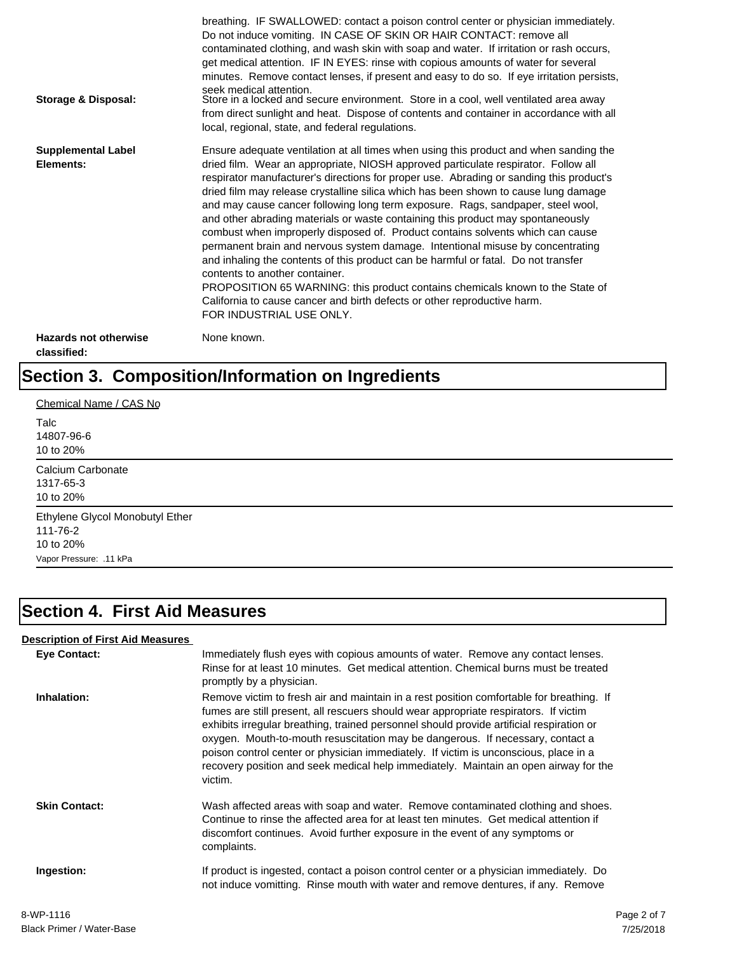| Storage & Disposal:                         | breathing. IF SWALLOWED: contact a poison control center or physician immediately.<br>Do not induce vomiting. IN CASE OF SKIN OR HAIR CONTACT: remove all<br>contaminated clothing, and wash skin with soap and water. If irritation or rash occurs,<br>get medical attention. IF IN EYES: rinse with copious amounts of water for several<br>minutes. Remove contact lenses, if present and easy to do so. If eye irritation persists,<br>seek medical attention.<br>Store in a locked and secure environment. Store in a cool, well ventilated area away<br>from direct sunlight and heat. Dispose of contents and container in accordance with all<br>local, regional, state, and federal regulations.                                                                                                                                                                                                                                                                                                                |
|---------------------------------------------|--------------------------------------------------------------------------------------------------------------------------------------------------------------------------------------------------------------------------------------------------------------------------------------------------------------------------------------------------------------------------------------------------------------------------------------------------------------------------------------------------------------------------------------------------------------------------------------------------------------------------------------------------------------------------------------------------------------------------------------------------------------------------------------------------------------------------------------------------------------------------------------------------------------------------------------------------------------------------------------------------------------------------|
| <b>Supplemental Label</b><br>Elements:      | Ensure adequate ventilation at all times when using this product and when sanding the<br>dried film. Wear an appropriate, NIOSH approved particulate respirator. Follow all<br>respirator manufacturer's directions for proper use. Abrading or sanding this product's<br>dried film may release crystalline silica which has been shown to cause lung damage<br>and may cause cancer following long term exposure. Rags, sandpaper, steel wool,<br>and other abrading materials or waste containing this product may spontaneously<br>combust when improperly disposed of. Product contains solvents which can cause<br>permanent brain and nervous system damage. Intentional misuse by concentrating<br>and inhaling the contents of this product can be harmful or fatal. Do not transfer<br>contents to another container.<br>PROPOSITION 65 WARNING: this product contains chemicals known to the State of<br>California to cause cancer and birth defects or other reproductive harm.<br>FOR INDUSTRIAL USE ONLY. |
| <b>Hazards not otherwise</b><br>classified: | None known.                                                                                                                                                                                                                                                                                                                                                                                                                                                                                                                                                                                                                                                                                                                                                                                                                                                                                                                                                                                                              |

# **Section 3. Composition/Information on Ingredients**

| Chemical Name / CAS No                                                              |  |  |
|-------------------------------------------------------------------------------------|--|--|
| Talc<br>14807-96-6<br>10 to 20%                                                     |  |  |
| Calcium Carbonate<br>1317-65-3<br>10 to 20%                                         |  |  |
| Ethylene Glycol Monobutyl Ether<br>111-76-2<br>10 to 20%<br>Vapor Pressure: .11 kPa |  |  |

# **Section 4. First Aid Measures**

#### **Description of First Aid Measures**

| <b>Eye Contact:</b>  | Immediately flush eyes with copious amounts of water. Remove any contact lenses.<br>Rinse for at least 10 minutes. Get medical attention. Chemical burns must be treated<br>promptly by a physician.                                                                                                                                                                                                                                                                                                                                                      |
|----------------------|-----------------------------------------------------------------------------------------------------------------------------------------------------------------------------------------------------------------------------------------------------------------------------------------------------------------------------------------------------------------------------------------------------------------------------------------------------------------------------------------------------------------------------------------------------------|
| Inhalation:          | Remove victim to fresh air and maintain in a rest position comfortable for breathing. If<br>fumes are still present, all rescuers should wear appropriate respirators. If victim<br>exhibits irregular breathing, trained personnel should provide artificial respiration or<br>oxygen. Mouth-to-mouth resuscitation may be dangerous. If necessary, contact a<br>poison control center or physician immediately. If victim is unconscious, place in a<br>recovery position and seek medical help immediately. Maintain an open airway for the<br>victim. |
| <b>Skin Contact:</b> | Wash affected areas with soap and water. Remove contaminated clothing and shoes.<br>Continue to rinse the affected area for at least ten minutes. Get medical attention if<br>discomfort continues. Avoid further exposure in the event of any symptoms or<br>complaints.                                                                                                                                                                                                                                                                                 |
| Ingestion:           | If product is ingested, contact a poison control center or a physician immediately. Do<br>not induce vomitting. Rinse mouth with water and remove dentures, if any. Remove                                                                                                                                                                                                                                                                                                                                                                                |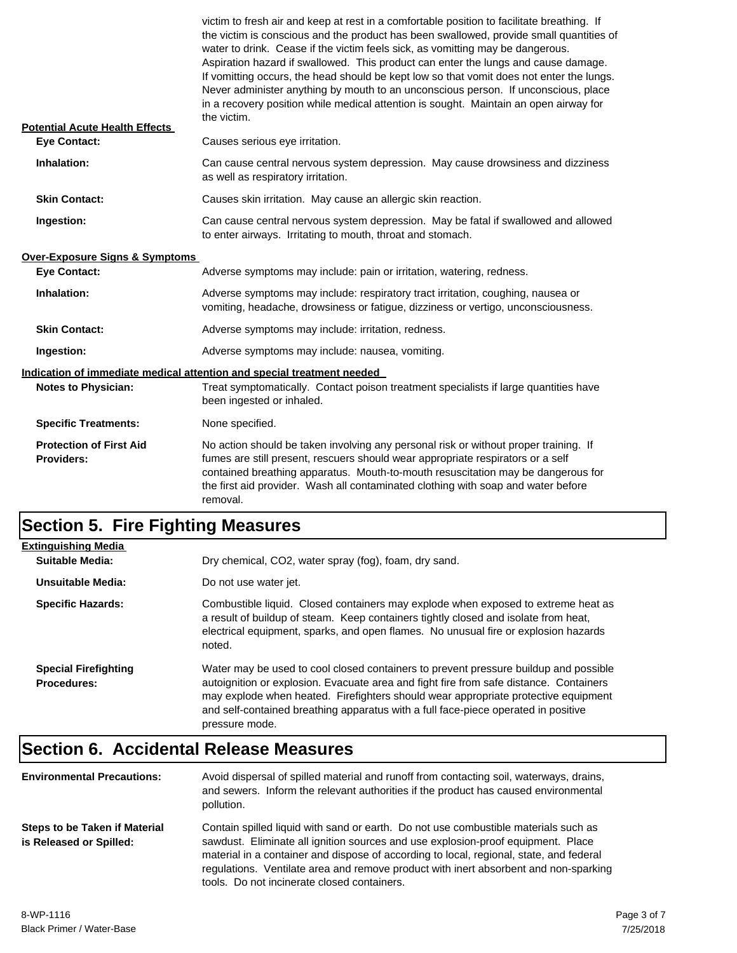| <b>Potential Acute Health Effects</b>        | victim to fresh air and keep at rest in a comfortable position to facilitate breathing. If<br>the victim is conscious and the product has been swallowed, provide small quantities of<br>water to drink. Cease if the victim feels sick, as vomitting may be dangerous.<br>Aspiration hazard if swallowed. This product can enter the lungs and cause damage.<br>If vomitting occurs, the head should be kept low so that vomit does not enter the lungs.<br>Never administer anything by mouth to an unconscious person. If unconscious, place<br>in a recovery position while medical attention is sought. Maintain an open airway for<br>the victim. |
|----------------------------------------------|---------------------------------------------------------------------------------------------------------------------------------------------------------------------------------------------------------------------------------------------------------------------------------------------------------------------------------------------------------------------------------------------------------------------------------------------------------------------------------------------------------------------------------------------------------------------------------------------------------------------------------------------------------|
| <b>Eve Contact:</b>                          | Causes serious eye irritation.                                                                                                                                                                                                                                                                                                                                                                                                                                                                                                                                                                                                                          |
| Inhalation:                                  | Can cause central nervous system depression. May cause drowsiness and dizziness<br>as well as respiratory irritation.                                                                                                                                                                                                                                                                                                                                                                                                                                                                                                                                   |
| <b>Skin Contact:</b>                         | Causes skin irritation. May cause an allergic skin reaction.                                                                                                                                                                                                                                                                                                                                                                                                                                                                                                                                                                                            |
| Ingestion:                                   | Can cause central nervous system depression. May be fatal if swallowed and allowed<br>to enter airways. Irritating to mouth, throat and stomach.                                                                                                                                                                                                                                                                                                                                                                                                                                                                                                        |
| Over-Exposure Signs & Symptoms               |                                                                                                                                                                                                                                                                                                                                                                                                                                                                                                                                                                                                                                                         |
| <b>Eye Contact:</b>                          | Adverse symptoms may include: pain or irritation, watering, redness.                                                                                                                                                                                                                                                                                                                                                                                                                                                                                                                                                                                    |
| Inhalation:                                  | Adverse symptoms may include: respiratory tract irritation, coughing, nausea or<br>vomiting, headache, drowsiness or fatigue, dizziness or vertigo, unconsciousness.                                                                                                                                                                                                                                                                                                                                                                                                                                                                                    |
| <b>Skin Contact:</b>                         | Adverse symptoms may include: irritation, redness.                                                                                                                                                                                                                                                                                                                                                                                                                                                                                                                                                                                                      |
| Ingestion:                                   | Adverse symptoms may include: nausea, vomiting.                                                                                                                                                                                                                                                                                                                                                                                                                                                                                                                                                                                                         |
| <b>Notes to Physician:</b>                   | Indication of immediate medical attention and special treatment needed<br>Treat symptomatically. Contact poison treatment specialists if large quantities have<br>been ingested or inhaled.                                                                                                                                                                                                                                                                                                                                                                                                                                                             |
| <b>Specific Treatments:</b>                  | None specified.                                                                                                                                                                                                                                                                                                                                                                                                                                                                                                                                                                                                                                         |
| <b>Protection of First Aid</b><br>Providers: | No action should be taken involving any personal risk or without proper training. If<br>fumes are still present, rescuers should wear appropriate respirators or a self<br>contained breathing apparatus. Mouth-to-mouth resuscitation may be dangerous for<br>the first aid provider. Wash all contaminated clothing with soap and water before<br>removal.                                                                                                                                                                                                                                                                                            |

# **Section 5. Fire Fighting Measures**

| <b>Extinguishing Media</b>                        |                                                                                                                                                                                                                                                                                                                                                                              |
|---------------------------------------------------|------------------------------------------------------------------------------------------------------------------------------------------------------------------------------------------------------------------------------------------------------------------------------------------------------------------------------------------------------------------------------|
| Suitable Media:                                   | Dry chemical, CO2, water spray (fog), foam, dry sand.                                                                                                                                                                                                                                                                                                                        |
| Unsuitable Media:                                 | Do not use water jet.                                                                                                                                                                                                                                                                                                                                                        |
| <b>Specific Hazards:</b>                          | Combustible liquid. Closed containers may explode when exposed to extreme heat as<br>a result of buildup of steam. Keep containers tightly closed and isolate from heat,<br>electrical equipment, sparks, and open flames. No unusual fire or explosion hazards<br>noted.                                                                                                    |
| <b>Special Firefighting</b><br><b>Procedures:</b> | Water may be used to cool closed containers to prevent pressure buildup and possible<br>autoignition or explosion. Evacuate area and fight fire from safe distance. Containers<br>may explode when heated. Firefighters should wear appropriate protective equipment<br>and self-contained breathing apparatus with a full face-piece operated in positive<br>pressure mode. |

# **Section 6. Accidental Release Measures**

| <b>Environmental Precautions:</b>                        | Avoid dispersal of spilled material and runoff from contacting soil, waterways, drains,<br>and sewers. Inform the relevant authorities if the product has caused environmental<br>pollution.                                                                                                                                                                                                              |
|----------------------------------------------------------|-----------------------------------------------------------------------------------------------------------------------------------------------------------------------------------------------------------------------------------------------------------------------------------------------------------------------------------------------------------------------------------------------------------|
| Steps to be Taken if Material<br>is Released or Spilled: | Contain spilled liquid with sand or earth. Do not use combustible materials such as<br>sawdust. Eliminate all ignition sources and use explosion-proof equipment. Place<br>material in a container and dispose of according to local, regional, state, and federal<br>regulations. Ventilate area and remove product with inert absorbent and non-sparking<br>tools. Do not incinerate closed containers. |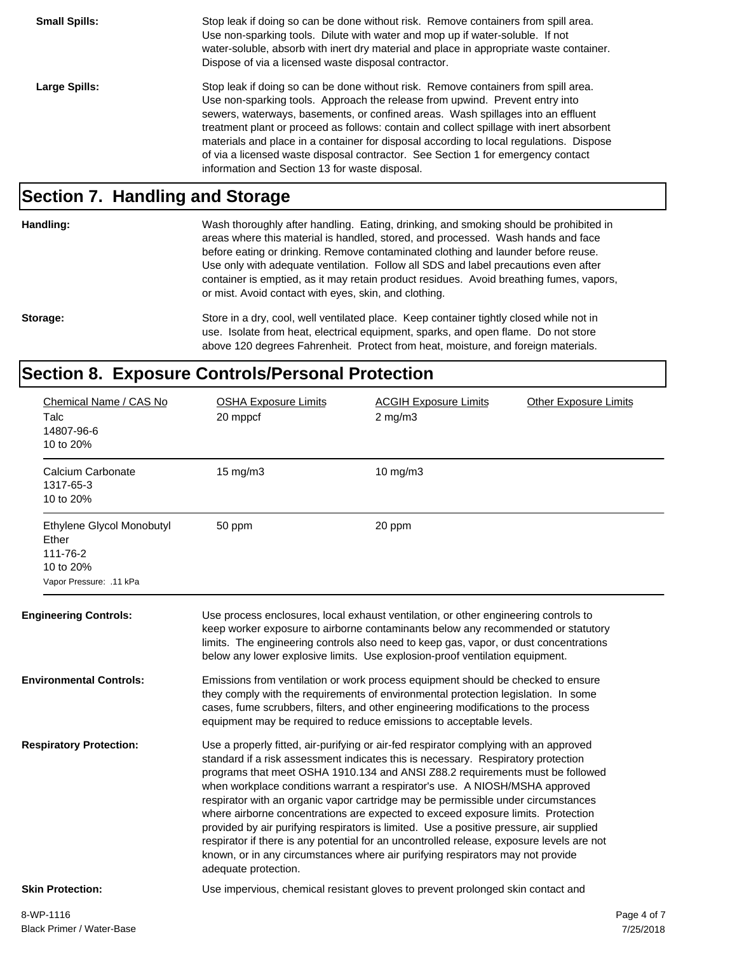**Small Spills:** Stop leak if doing so can be done without risk. Remove containers from spill area. Use non-sparking tools. Dilute with water and mop up if water-soluble. If not water-soluble, absorb with inert dry material and place in appropriate waste container. Dispose of via a licensed waste disposal contractor. Large Spills: Stop leak if doing so can be done without risk. Remove containers from spill area. Use non-sparking tools. Approach the release from upwind. Prevent entry into sewers, waterways, basements, or confined areas. Wash spillages into an effluent treatment plant or proceed as follows: contain and collect spillage with inert absorbent materials and place in a container for disposal according to local regulations. Dispose of via a licensed waste disposal contractor. See Section 1 for emergency contact information and Section 13 for waste disposal.

#### **Section 7. Handling and Storage**

**Handling:** Wash thoroughly after handling. Eating, drinking, and smoking should be prohibited in

or mist. Avoid contact with eyes, skin, and clothing. Storage: Store in a dry, cool, well ventilated place. Keep container tightly closed while not in use. Isolate from heat, electrical equipment, sparks, and open flame. Do not store above 120 degrees Fahrenheit. Protect from heat, moisture, and foreign materials.

areas where this material is handled, stored, and processed. Wash hands and face before eating or drinking. Remove contaminated clothing and launder before reuse. Use only with adequate ventilation. Follow all SDS and label precautions even after container is emptied, as it may retain product residues. Avoid breathing fumes, vapors,

### **Section 8. Exposure Controls/Personal Protection**

| Chemical Name / CAS No<br>Talc<br>14807-96-6<br>10 to 20%                              | <b>OSHA Exposure Limits</b><br>20 mppcf | <b>ACGIH Exposure Limits</b><br>$2$ mg/m $3$                                                                                                                                                                                                                                                                                                                                                                                                                                                                                                                                                                                                                                                                                                                                                  | <b>Other Exposure Limits</b> |
|----------------------------------------------------------------------------------------|-----------------------------------------|-----------------------------------------------------------------------------------------------------------------------------------------------------------------------------------------------------------------------------------------------------------------------------------------------------------------------------------------------------------------------------------------------------------------------------------------------------------------------------------------------------------------------------------------------------------------------------------------------------------------------------------------------------------------------------------------------------------------------------------------------------------------------------------------------|------------------------------|
| Calcium Carbonate<br>1317-65-3<br>10 to 20%                                            | 15 mg/m3                                | $10$ mg/m $3$                                                                                                                                                                                                                                                                                                                                                                                                                                                                                                                                                                                                                                                                                                                                                                                 |                              |
| Ethylene Glycol Monobutyl<br>Ether<br>111-76-2<br>10 to 20%<br>Vapor Pressure: .11 kPa | 50 ppm                                  | 20 ppm                                                                                                                                                                                                                                                                                                                                                                                                                                                                                                                                                                                                                                                                                                                                                                                        |                              |
| <b>Engineering Controls:</b>                                                           |                                         | Use process enclosures, local exhaust ventilation, or other engineering controls to<br>keep worker exposure to airborne contaminants below any recommended or statutory<br>limits. The engineering controls also need to keep gas, vapor, or dust concentrations<br>below any lower explosive limits. Use explosion-proof ventilation equipment.                                                                                                                                                                                                                                                                                                                                                                                                                                              |                              |
| <b>Environmental Controls:</b>                                                         |                                         | Emissions from ventilation or work process equipment should be checked to ensure<br>they comply with the requirements of environmental protection legislation. In some<br>cases, fume scrubbers, filters, and other engineering modifications to the process<br>equipment may be required to reduce emissions to acceptable levels.                                                                                                                                                                                                                                                                                                                                                                                                                                                           |                              |
| <b>Respiratory Protection:</b>                                                         | adequate protection.                    | Use a properly fitted, air-purifying or air-fed respirator complying with an approved<br>standard if a risk assessment indicates this is necessary. Respiratory protection<br>programs that meet OSHA 1910.134 and ANSI Z88.2 requirements must be followed<br>when workplace conditions warrant a respirator's use. A NIOSH/MSHA approved<br>respirator with an organic vapor cartridge may be permissible under circumstances<br>where airborne concentrations are expected to exceed exposure limits. Protection<br>provided by air purifying respirators is limited. Use a positive pressure, air supplied<br>respirator if there is any potential for an uncontrolled release, exposure levels are not<br>known, or in any circumstances where air purifying respirators may not provide |                              |
| <b>Skin Protection:</b>                                                                |                                         | Use impervious, chemical resistant gloves to prevent prolonged skin contact and                                                                                                                                                                                                                                                                                                                                                                                                                                                                                                                                                                                                                                                                                                               |                              |
| 8-WP-1116                                                                              |                                         |                                                                                                                                                                                                                                                                                                                                                                                                                                                                                                                                                                                                                                                                                                                                                                                               | Page 4 of 7                  |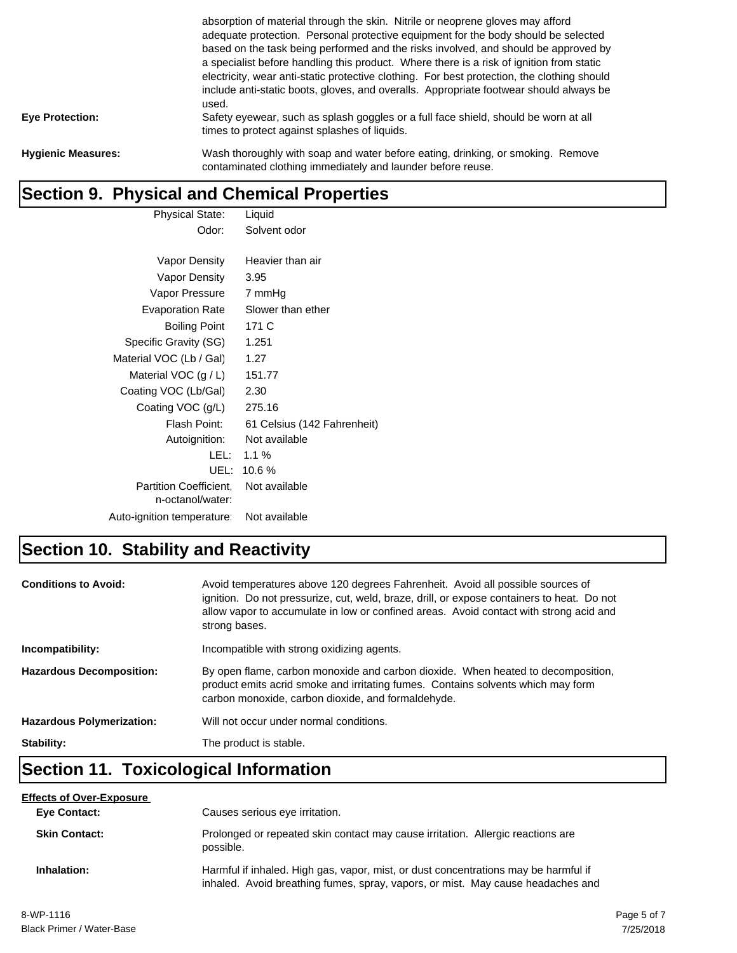|                           | absorption of material through the skin. Nitrile or neoprene gloves may afford<br>adequate protection. Personal protective equipment for the body should be selected<br>based on the task being performed and the risks involved, and should be approved by<br>a specialist before handling this product. Where there is a risk of ignition from static<br>electricity, wear anti-static protective clothing. For best protection, the clothing should<br>include anti-static boots, gloves, and overalls. Appropriate footwear should always be<br>used. |
|---------------------------|-----------------------------------------------------------------------------------------------------------------------------------------------------------------------------------------------------------------------------------------------------------------------------------------------------------------------------------------------------------------------------------------------------------------------------------------------------------------------------------------------------------------------------------------------------------|
| <b>Eye Protection:</b>    | Safety eyewear, such as splash goggles or a full face shield, should be worn at all<br>times to protect against splashes of liquids.                                                                                                                                                                                                                                                                                                                                                                                                                      |
| <b>Hygienic Measures:</b> | Wash thoroughly with soap and water before eating, drinking, or smoking. Remove<br>contaminated clothing immediately and launder before reuse.                                                                                                                                                                                                                                                                                                                                                                                                            |

### **Section 9. Physical and Chemical Properties**

| <b>Physical State:</b>        | Liquid                      |
|-------------------------------|-----------------------------|
| Odor:                         | Solvent odor                |
|                               |                             |
| Vapor Density                 | Heavier than air            |
| Vapor Density                 | 3.95                        |
| Vapor Pressure                | 7 mmHg                      |
| <b>Evaporation Rate</b>       | Slower than ether           |
| <b>Boiling Point</b>          | 171 C                       |
| Specific Gravity (SG)         | 1.251                       |
| Material VOC (Lb / Gal)       | 1.27                        |
| Material VOC $(g / L)$        | 151.77                      |
| Coating VOC (Lb/Gal)          | 2.30                        |
| Coating VOC (g/L)             | 275.16                      |
| Flash Point:                  | 61 Celsius (142 Fahrenheit) |
| Autoignition:                 | Not available               |
| LEL: I                        | $1.1\%$                     |
| UEL:                          | 10.6 %                      |
| <b>Partition Coefficient.</b> | Not available               |
| n-octanol/water:              |                             |
| Auto-ignition temperature:    | Not available               |

# **Section 10. Stability and Reactivity**

| <b>Conditions to Avoid:</b>      | Avoid temperatures above 120 degrees Fahrenheit. Avoid all possible sources of<br>ignition. Do not pressurize, cut, weld, braze, drill, or expose containers to heat. Do not<br>allow vapor to accumulate in low or confined areas. Avoid contact with strong acid and<br>strong bases. |
|----------------------------------|-----------------------------------------------------------------------------------------------------------------------------------------------------------------------------------------------------------------------------------------------------------------------------------------|
| Incompatibility:                 | Incompatible with strong oxidizing agents.                                                                                                                                                                                                                                              |
| <b>Hazardous Decomposition:</b>  | By open flame, carbon monoxide and carbon dioxide. When heated to decomposition,<br>product emits acrid smoke and irritating fumes. Contains solvents which may form<br>carbon monoxide, carbon dioxide, and formaldehyde.                                                              |
| <b>Hazardous Polymerization:</b> | Will not occur under normal conditions.                                                                                                                                                                                                                                                 |
| Stability:                       | The product is stable.                                                                                                                                                                                                                                                                  |

# **Section 11. Toxicological Information**

| <b>Effects of Over-Exposure</b> |                                                                                                                                                                        |
|---------------------------------|------------------------------------------------------------------------------------------------------------------------------------------------------------------------|
| <b>Eye Contact:</b>             | Causes serious eye irritation.                                                                                                                                         |
| <b>Skin Contact:</b>            | Prolonged or repeated skin contact may cause irritation. Allergic reactions are<br>possible.                                                                           |
| Inhalation:                     | Harmful if inhaled. High gas, vapor, mist, or dust concentrations may be harmful if<br>inhaled. Avoid breathing fumes, spray, vapors, or mist. May cause headaches and |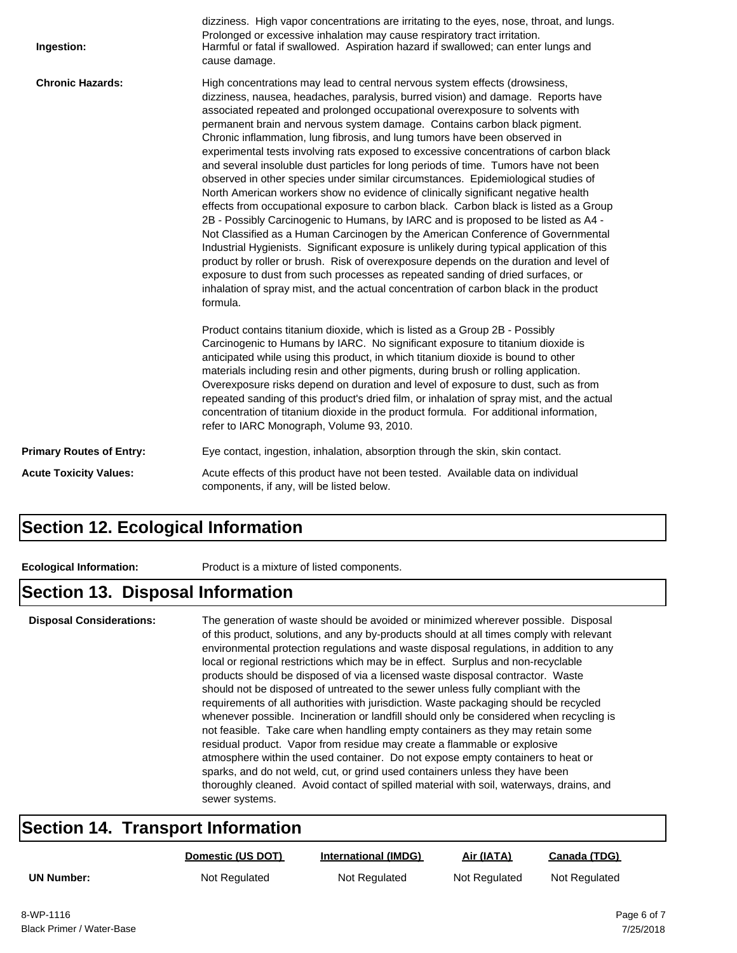| Ingestion:                      | dizziness. High vapor concentrations are irritating to the eyes, nose, throat, and lungs.<br>Prolonged or excessive inhalation may cause respiratory tract irritation.<br>Harmful or fatal if swallowed. Aspiration hazard if swallowed; can enter lungs and<br>cause damage.                                                                                                                                                                                                                                                                                                                                                                                                                                                                                                                                                                                                                                                                                                                                                                                                                                                                                                                                                                                                                                                                                                                                        |
|---------------------------------|----------------------------------------------------------------------------------------------------------------------------------------------------------------------------------------------------------------------------------------------------------------------------------------------------------------------------------------------------------------------------------------------------------------------------------------------------------------------------------------------------------------------------------------------------------------------------------------------------------------------------------------------------------------------------------------------------------------------------------------------------------------------------------------------------------------------------------------------------------------------------------------------------------------------------------------------------------------------------------------------------------------------------------------------------------------------------------------------------------------------------------------------------------------------------------------------------------------------------------------------------------------------------------------------------------------------------------------------------------------------------------------------------------------------|
| <b>Chronic Hazards:</b>         | High concentrations may lead to central nervous system effects (drowsiness,<br>dizziness, nausea, headaches, paralysis, burred vision) and damage. Reports have<br>associated repeated and prolonged occupational overexposure to solvents with<br>permanent brain and nervous system damage. Contains carbon black pigment.<br>Chronic inflammation, lung fibrosis, and lung tumors have been observed in<br>experimental tests involving rats exposed to excessive concentrations of carbon black<br>and several insoluble dust particles for long periods of time. Tumors have not been<br>observed in other species under similar circumstances. Epidemiological studies of<br>North American workers show no evidence of clinically significant negative health<br>effects from occupational exposure to carbon black. Carbon black is listed as a Group<br>2B - Possibly Carcinogenic to Humans, by IARC and is proposed to be listed as A4 -<br>Not Classified as a Human Carcinogen by the American Conference of Governmental<br>Industrial Hygienists. Significant exposure is unlikely during typical application of this<br>product by roller or brush. Risk of overexposure depends on the duration and level of<br>exposure to dust from such processes as repeated sanding of dried surfaces, or<br>inhalation of spray mist, and the actual concentration of carbon black in the product<br>formula. |
|                                 | Product contains titanium dioxide, which is listed as a Group 2B - Possibly<br>Carcinogenic to Humans by IARC. No significant exposure to titanium dioxide is<br>anticipated while using this product, in which titanium dioxide is bound to other<br>materials including resin and other pigments, during brush or rolling application.<br>Overexposure risks depend on duration and level of exposure to dust, such as from<br>repeated sanding of this product's dried film, or inhalation of spray mist, and the actual<br>concentration of titanium dioxide in the product formula. For additional information,<br>refer to IARC Monograph, Volume 93, 2010.                                                                                                                                                                                                                                                                                                                                                                                                                                                                                                                                                                                                                                                                                                                                                    |
| <b>Primary Routes of Entry:</b> | Eye contact, ingestion, inhalation, absorption through the skin, skin contact.                                                                                                                                                                                                                                                                                                                                                                                                                                                                                                                                                                                                                                                                                                                                                                                                                                                                                                                                                                                                                                                                                                                                                                                                                                                                                                                                       |
| <b>Acute Toxicity Values:</b>   | Acute effects of this product have not been tested. Available data on individual<br>components, if any, will be listed below.                                                                                                                                                                                                                                                                                                                                                                                                                                                                                                                                                                                                                                                                                                                                                                                                                                                                                                                                                                                                                                                                                                                                                                                                                                                                                        |

### **Section 12. Ecological Information**

**Ecological Information:** Product is a mixture of listed components.

#### **Section 13. Disposal Information**

**Disposal Considerations:** The generation of waste should be avoided or minimized wherever possible. Disposal of this product, solutions, and any by-products should at all times comply with relevant environmental protection regulations and waste disposal regulations, in addition to any local or regional restrictions which may be in effect. Surplus and non-recyclable products should be disposed of via a licensed waste disposal contractor. Waste should not be disposed of untreated to the sewer unless fully compliant with the requirements of all authorities with jurisdiction. Waste packaging should be recycled whenever possible. Incineration or landfill should only be considered when recycling is not feasible. Take care when handling empty containers as they may retain some residual product. Vapor from residue may create a flammable or explosive atmosphere within the used container. Do not expose empty containers to heat or sparks, and do not weld, cut, or grind used containers unless they have been thoroughly cleaned. Avoid contact of spilled material with soil, waterways, drains, and sewer systems.

#### **Section 14. Transport Information**

|                   | Domestic (US DOT) | <b>International (IMDG)</b> | Air (IATA)    | Canada (TDG)  |
|-------------------|-------------------|-----------------------------|---------------|---------------|
| <b>UN Number:</b> | Not Regulated     | Not Regulated               | Not Regulated | Not Regulated |